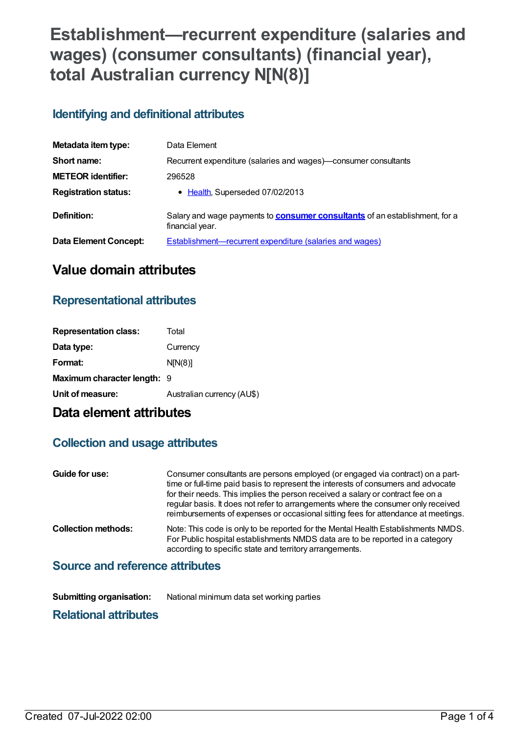# **Establishment—recurrent expenditure (salaries and wages) (consumer consultants) (financial year), total Australian currency N[N(8)]**

## **Identifying and definitional attributes**

| Metadata item type:         | Data Element                                                                                          |
|-----------------------------|-------------------------------------------------------------------------------------------------------|
| Short name:                 | Recurrent expenditure (salaries and wages)—consumer consultants                                       |
| <b>METEOR identifier:</b>   | 296528                                                                                                |
| <b>Registration status:</b> | • Health, Superseded 07/02/2013                                                                       |
| Definition:                 | Salary and wage payments to <b>consumer consultants</b> of an establishment, for a<br>financial year. |
| Data Element Concept:       | <b>Establishment—recurrent expenditure (salaries and wages)</b>                                       |

## **Value domain attributes**

### **Representational attributes**

| <b>Representation class:</b> | Total                      |
|------------------------------|----------------------------|
| Data type:                   | Currency                   |
| Format:                      | N[N(8)]                    |
| Maximum character length: 9  |                            |
| Unit of measure:             | Australian currency (AU\$) |
|                              |                            |

# **Data element attributes**

### **Collection and usage attributes**

| Guide for use:                  | Consumer consultants are persons employed (or engaged via contract) on a part-<br>time or full-time paid basis to represent the interests of consumers and advocate<br>for their needs. This implies the person received a salary or contract fee on a<br>regular basis. It does not refer to arrangements where the consumer only received<br>reimbursements of expenses or occasional sitting fees for attendance at meetings. |  |
|---------------------------------|----------------------------------------------------------------------------------------------------------------------------------------------------------------------------------------------------------------------------------------------------------------------------------------------------------------------------------------------------------------------------------------------------------------------------------|--|
| <b>Collection methods:</b>      | Note: This code is only to be reported for the Mental Health Establishments NMDS.<br>For Public hospital establishments NMDS data are to be reported in a category<br>according to specific state and territory arrangements.                                                                                                                                                                                                    |  |
| Source and reference attributes |                                                                                                                                                                                                                                                                                                                                                                                                                                  |  |

# **Source and reference attributes**

**Submitting organisation:** National minimum data set working parties

### **Relational attributes**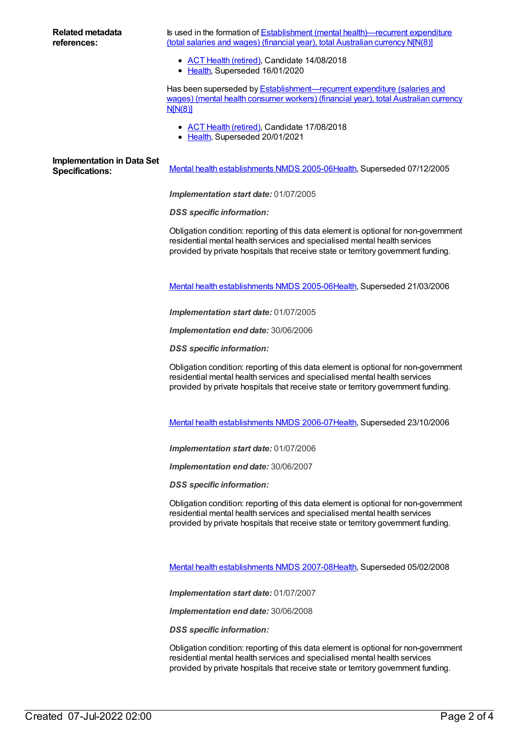#### **Related metadata references:**

Is used in the formation of **Establishment** (mental [health\)—recurrent](https://meteor.aihw.gov.au/content/296577) expenditure (total salaries and wages) (financial year), total Australian currency N[N(8)]

- ACT Health [\(retired\)](https://meteor.aihw.gov.au/RegistrationAuthority/9), Candidate 14/08/2018
- [Health](https://meteor.aihw.gov.au/RegistrationAuthority/12), Superseded 16/01/2020

Has been superseded by **[Establishment—recurrent](https://meteor.aihw.gov.au/content/451428) expenditure (salaries and** wages) (mental health consumer workers) (financial year), total Australian currency N[N(8)]

- ACT Health [\(retired\)](https://meteor.aihw.gov.au/RegistrationAuthority/9), Candidate 17/08/2018
- [Health](https://meteor.aihw.gov.au/RegistrationAuthority/12), Superseded 20/01/2021

# **Implementation in Data Set**

Specifications: Mental health [establishments](https://meteor.aihw.gov.au/content/298027) NMDS 2005-06[Health](https://meteor.aihw.gov.au/RegistrationAuthority/12), Superseded 07/12/2005

*Implementation start date:* 01/07/2005

*DSS specific information:*

Obligation condition: reporting of this data element is optional for non-government residential mental health services and specialised mental health services provided by private hospitals that receive state or territory government funding.

Mental health [establishments](https://meteor.aihw.gov.au/content/311875) NMDS 2005-06[Health](https://meteor.aihw.gov.au/RegistrationAuthority/12), Superseded 21/03/2006

*Implementation start date:* 01/07/2005

*Implementation end date:* 30/06/2006

*DSS specific information:*

Obligation condition: reporting of this data element is optional for non-government residential mental health services and specialised mental health services provided by private hospitals that receive state or territory government funding.

Mental health [establishments](https://meteor.aihw.gov.au/content/334283) NMDS 2006-07[Health](https://meteor.aihw.gov.au/RegistrationAuthority/12), Superseded 23/10/2006

*Implementation start date:* 01/07/2006

*Implementation end date:* 30/06/2007

*DSS specific information:*

Obligation condition: reporting of this data element is optional for non-government residential mental health services and specialised mental health services provided by private hospitals that receive state or territory government funding.

Mental health [establishments](https://meteor.aihw.gov.au/content/345134) NMDS 2007-08[Health](https://meteor.aihw.gov.au/RegistrationAuthority/12), Superseded 05/02/2008

*Implementation start date:* 01/07/2007

*Implementation end date:* 30/06/2008

*DSS specific information:*

Obligation condition: reporting of this data element is optional for non-government residential mental health services and specialised mental health services provided by private hospitals that receive state or territory government funding.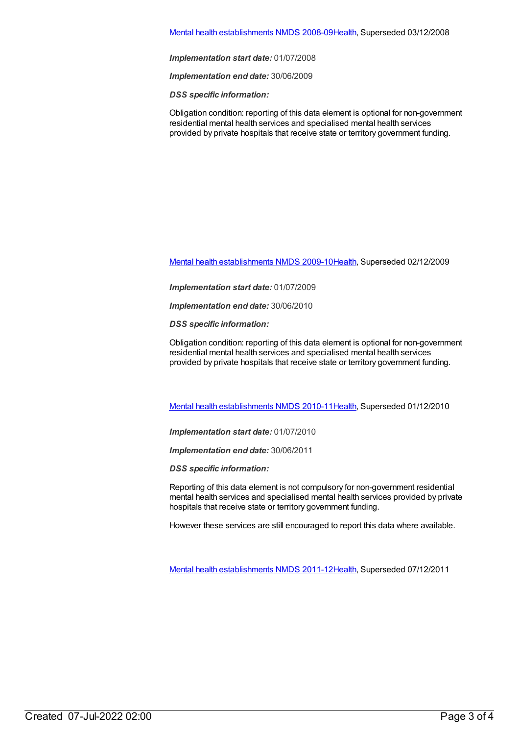#### Mental health [establishments](https://meteor.aihw.gov.au/content/362299) NMDS 2008-09[Health](https://meteor.aihw.gov.au/RegistrationAuthority/12), Superseded 03/12/2008

*Implementation start date:* 01/07/2008

*Implementation end date:* 30/06/2009

*DSS specific information:*

Obligation condition: reporting of this data element is optional for non-government residential mental health services and specialised mental health services provided by private hospitals that receive state or territory government funding.

Mental health [establishments](https://meteor.aihw.gov.au/content/374981) NMDS 2009-10[Health](https://meteor.aihw.gov.au/RegistrationAuthority/12), Superseded 02/12/2009

*Implementation start date:* 01/07/2009

*Implementation end date:* 30/06/2010

*DSS specific information:*

Obligation condition: reporting of this data element is optional for non-government residential mental health services and specialised mental health services provided by private hospitals that receive state or territory government funding.

Mental health [establishments](https://meteor.aihw.gov.au/content/378611) NMDS 2010-11[Health](https://meteor.aihw.gov.au/RegistrationAuthority/12), Superseded 01/12/2010

*Implementation start date:* 01/07/2010

*Implementation end date:* 30/06/2011

*DSS specific information:*

Reporting of this data element is not compulsory for non-government residential mental health services and specialised mental health services provided by private hospitals that receive state or territory government funding.

However these services are still encouraged to report this data where available.

Mental health [establishments](https://meteor.aihw.gov.au/content/424725) NMDS 2011-12[Health](https://meteor.aihw.gov.au/RegistrationAuthority/12), Superseded 07/12/2011